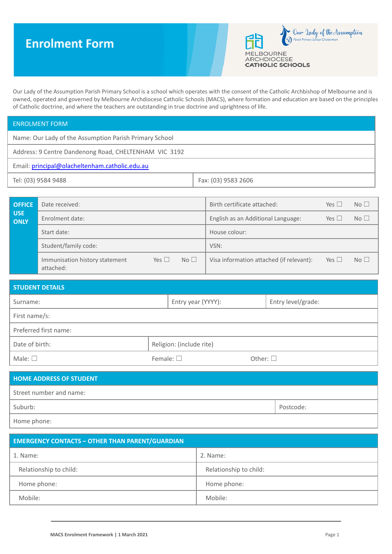# **Enrolment Form**



Our Lady of the Assumption Parish Primary School is a school which operates with the consent of the Catholic Archbishop of Melbourne and is owned, operated and governed by Melbourne Archdiocese Catholic Schools (MACS), where formation and education are based on the principles of Catholic doctrine, and where the teachers are outstanding in true doctrine and uprightness of life.

| <b>ENROLMENT FORM</b>                                  |                     |  |  |
|--------------------------------------------------------|---------------------|--|--|
| Name: Our Lady of the Assumption Parish Primary School |                     |  |  |
| Address: 9 Centre Dandenong Road, CHELTENHAM VIC 3192  |                     |  |  |
| Email: principal@olacheltenham.catholic.edu.au         |                     |  |  |
| Tel: (03) 9584 9488                                    | Fax: (03) 9583 2606 |  |  |

| <b>OFFICE</b>             | Date received:                              |            |    | Birth certificate attached:              | Yes $\Box$ | No              |
|---------------------------|---------------------------------------------|------------|----|------------------------------------------|------------|-----------------|
| <b>USE</b><br><b>ONLY</b> | Enrolment date:                             |            |    | English as an Additional Language:       | Yes $\Box$ | No <sub>1</sub> |
|                           | Start date:                                 |            |    | House colour:                            |            |                 |
|                           | Student/family code:                        |            |    | VSN:                                     |            |                 |
|                           | Immunisation history statement<br>attached: | Yes $\Box$ | No | Visa information attached (if relevant): | Yes $\Box$ | No <sub>1</sub> |

| <b>STUDENT DETAILS</b> |                   |                          |                  |                    |  |  |
|------------------------|-------------------|--------------------------|------------------|--------------------|--|--|
| Surname:               |                   | Entry year (YYYY):       |                  | Entry level/grade: |  |  |
| First name/s:          |                   |                          |                  |                    |  |  |
| Preferred first name:  |                   |                          |                  |                    |  |  |
| Date of birth:         |                   | Religion: (include rite) |                  |                    |  |  |
| Male: $\square$        | Female: $\square$ |                          | Other: $\square$ |                    |  |  |

| <b>HOME ADDRESS OF STUDENT</b> |           |
|--------------------------------|-----------|
| Street number and name:        |           |
| Suburb:                        | Postcode: |
| Home phone:                    |           |

| <b>EMERGENCY CONTACTS - OTHER THAN PARENT/GUARDIAN</b> |                        |  |  |  |
|--------------------------------------------------------|------------------------|--|--|--|
| 1. Name:                                               | 2. Name:               |  |  |  |
| Relationship to child:                                 | Relationship to child: |  |  |  |
| Home phone:                                            | Home phone:            |  |  |  |
| Mobile:                                                | Mobile:                |  |  |  |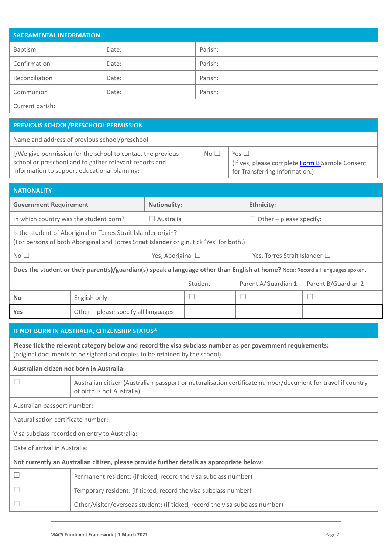| <b>SACRAMENTAL INFORMATION</b>                                                                                                                                                                                                                                                                |                                                                              |                           |         |  |                                |                     |  |
|-----------------------------------------------------------------------------------------------------------------------------------------------------------------------------------------------------------------------------------------------------------------------------------------------|------------------------------------------------------------------------------|---------------------------|---------|--|--------------------------------|---------------------|--|
| <b>Baptism</b>                                                                                                                                                                                                                                                                                | Date:                                                                        |                           | Parish: |  |                                |                     |  |
| Confirmation                                                                                                                                                                                                                                                                                  | Date:                                                                        |                           | Parish: |  |                                |                     |  |
| Reconciliation                                                                                                                                                                                                                                                                                | Date:                                                                        |                           | Parish: |  |                                |                     |  |
| Communion                                                                                                                                                                                                                                                                                     | Date:                                                                        |                           | Parish: |  |                                |                     |  |
| Current parish:                                                                                                                                                                                                                                                                               |                                                                              |                           |         |  |                                |                     |  |
| PREVIOUS SCHOOL/PRESCHOOL PERMISSION                                                                                                                                                                                                                                                          |                                                                              |                           |         |  |                                |                     |  |
| Name and address of previous school/preschool:                                                                                                                                                                                                                                                |                                                                              |                           |         |  |                                |                     |  |
| I/We give permission for the school to contact the previous<br>No <sub>1</sub><br>Yes $\square$<br>school or preschool and to gather relevant reports and<br>(If yes, please complete Form B Sample Consent<br>information to support educational planning:<br>for Transferring Information.) |                                                                              |                           |         |  |                                |                     |  |
| <b>NATIONALITY</b>                                                                                                                                                                                                                                                                            |                                                                              |                           |         |  |                                |                     |  |
| <b>Government Requirement</b>                                                                                                                                                                                                                                                                 |                                                                              | <b>Nationality:</b>       |         |  | <b>Ethnicity:</b>              |                     |  |
| In which country was the student born?                                                                                                                                                                                                                                                        |                                                                              | $\Box$ Australia          |         |  | $\Box$ Other – please specify: |                     |  |
| Is the student of Aboriginal or Torres Strait Islander origin?<br>(For persons of both Aboriginal and Torres Strait Islander origin, tick 'Yes' for both.)                                                                                                                                    |                                                                              |                           |         |  |                                |                     |  |
| No <sub>1</sub>                                                                                                                                                                                                                                                                               |                                                                              | Yes, Aboriginal $\square$ |         |  | Yes, Torres Strait Islander □  |                     |  |
| Does the student or their parent(s)/guardian(s) speak a language other than English at home? Note: Record all languages spoken.                                                                                                                                                               |                                                                              |                           |         |  |                                |                     |  |
|                                                                                                                                                                                                                                                                                               |                                                                              |                           | Student |  | Parent A/Guardian 1            | Parent B/Guardian 2 |  |
| English only<br><b>No</b>                                                                                                                                                                                                                                                                     |                                                                              |                           | $\Box$  |  | $\Box$                         | $\Box$              |  |
| <b>Yes</b>                                                                                                                                                                                                                                                                                    | Other - please specify all languages                                         |                           |         |  |                                |                     |  |
| IF NOT BORN IN AUSTRALIA, CITIZENSHIP STATUS*                                                                                                                                                                                                                                                 |                                                                              |                           |         |  |                                |                     |  |
| Please tick the relevant category below and record the visa subclass number as per government requirements:<br>(original documents to be sighted and copies to be retained by the school)                                                                                                     |                                                                              |                           |         |  |                                |                     |  |
| Australian citizen not born in Australia:                                                                                                                                                                                                                                                     |                                                                              |                           |         |  |                                |                     |  |
| $\Box$<br>Australian citizen (Australian passport or naturalisation certificate number/document for travel if country<br>of birth is not Australia)                                                                                                                                           |                                                                              |                           |         |  |                                |                     |  |
| Australian passport number:                                                                                                                                                                                                                                                                   |                                                                              |                           |         |  |                                |                     |  |
| Naturalisation certificate number:                                                                                                                                                                                                                                                            |                                                                              |                           |         |  |                                |                     |  |
| Visa subclass recorded on entry to Australia:                                                                                                                                                                                                                                                 |                                                                              |                           |         |  |                                |                     |  |
| Date of arrival in Australia:                                                                                                                                                                                                                                                                 |                                                                              |                           |         |  |                                |                     |  |
| Not currently an Australian citizen, please provide further details as appropriate below:                                                                                                                                                                                                     |                                                                              |                           |         |  |                                |                     |  |
| $\Box$                                                                                                                                                                                                                                                                                        | Permanent resident: (if ticked, record the visa subclass number)             |                           |         |  |                                |                     |  |
| ⊔                                                                                                                                                                                                                                                                                             | Temporary resident: (if ticked, record the visa subclass number)             |                           |         |  |                                |                     |  |
| $\Box$                                                                                                                                                                                                                                                                                        | Other/visitor/overseas student: (if ticked, record the visa subclass number) |                           |         |  |                                |                     |  |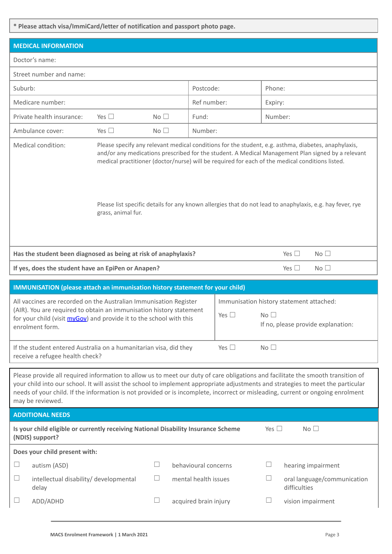**\* Please attach visa/ImmiCard/letter of notification and passport photo page.**

| <b>MEDICAL INFORMATION</b>                                                                                                                                                                                                                                                                                                                                                                                                                                           |                                        |                                 |                      |               |                 |                                                                                |
|----------------------------------------------------------------------------------------------------------------------------------------------------------------------------------------------------------------------------------------------------------------------------------------------------------------------------------------------------------------------------------------------------------------------------------------------------------------------|----------------------------------------|---------------------------------|----------------------|---------------|-----------------|--------------------------------------------------------------------------------|
| Doctor's name:                                                                                                                                                                                                                                                                                                                                                                                                                                                       |                                        |                                 |                      |               |                 |                                                                                |
| Street number and name:                                                                                                                                                                                                                                                                                                                                                                                                                                              |                                        |                                 |                      |               |                 |                                                                                |
| Suburb:                                                                                                                                                                                                                                                                                                                                                                                                                                                              |                                        |                                 | Postcode:            |               | Phone:          |                                                                                |
| Medicare number:                                                                                                                                                                                                                                                                                                                                                                                                                                                     |                                        |                                 | Ref number:          |               | Expiry:         |                                                                                |
| Private health insurance:                                                                                                                                                                                                                                                                                                                                                                                                                                            | Yes $\square$                          | No <sub>1</sub>                 | Fund:                |               | Number:         |                                                                                |
| Ambulance cover:                                                                                                                                                                                                                                                                                                                                                                                                                                                     | Yes $\square$                          | No <sub>1</sub>                 | Number:              |               |                 |                                                                                |
| Please specify any relevant medical conditions for the student, e.g. asthma, diabetes, anaphylaxis,<br>Medical condition:<br>and/or any medications prescribed for the student. A Medical Management Plan signed by a relevant<br>medical practitioner (doctor/nurse) will be required for each of the medical conditions listed.<br>Please list specific details for any known allergies that do not lead to anaphylaxis, e.g. hay fever, rye<br>grass, animal fur. |                                        |                                 |                      |               |                 |                                                                                |
| Has the student been diagnosed as being at risk of anaphylaxis?<br>No <sub>1</sub><br>Yes $\Box$                                                                                                                                                                                                                                                                                                                                                                     |                                        |                                 |                      |               |                 |                                                                                |
| If yes, does the student have an EpiPen or Anapen?                                                                                                                                                                                                                                                                                                                                                                                                                   |                                        |                                 |                      |               |                 | No <sub>1</sub><br>Yes $\Box$                                                  |
| IMMUNISATION (please attach an immunisation history statement for your child)                                                                                                                                                                                                                                                                                                                                                                                        |                                        |                                 |                      |               |                 |                                                                                |
| All vaccines are recorded on the Australian Immunisation Register<br>(AIR). You are required to obtain an immunisation history statement<br>for your child (visit myGov) and provide it to the school with this<br>enrolment form.                                                                                                                                                                                                                                   |                                        |                                 |                      | Yes $\square$ | No <sub>1</sub> | Immunisation history statement attached:<br>If no, please provide explanation: |
| If the student entered Australia on a humanitarian visa, did they<br>receive a refugee health check?                                                                                                                                                                                                                                                                                                                                                                 |                                        |                                 |                      | Yes $\square$ | No <sub>1</sub> |                                                                                |
| Please provide all required information to allow us to meet our duty of care obligations and facilitate the smooth transition of<br>your child into our school. It will assist the school to implement appropriate adjustments and strategies to meet the particular<br>needs of your child. If the information is not provided or is incomplete, incorrect or misleading, current or ongoing enrolment<br>may be reviewed.                                          |                                        |                                 |                      |               |                 |                                                                                |
| <b>ADDITIONAL NEEDS</b>                                                                                                                                                                                                                                                                                                                                                                                                                                              |                                        |                                 |                      |               |                 |                                                                                |
| Is your child eligible or currently receiving National Disability Insurance Scheme<br>(NDIS) support?                                                                                                                                                                                                                                                                                                                                                                |                                        |                                 |                      |               | Yes $\square$   | No <sub>1</sub>                                                                |
| Does your child present with:                                                                                                                                                                                                                                                                                                                                                                                                                                        |                                        |                                 |                      |               |                 |                                                                                |
| $\Box$<br>autism (ASD)                                                                                                                                                                                                                                                                                                                                                                                                                                               |                                        | $\Box$                          | behavioural concerns |               |                 | hearing impairment                                                             |
| $\Box$<br>delay                                                                                                                                                                                                                                                                                                                                                                                                                                                      | intellectual disability/ developmental | $\Box$                          | mental health issues |               | ш               | oral language/communication<br>difficulties                                    |
| ADD/ADHD                                                                                                                                                                                                                                                                                                                                                                                                                                                             |                                        | $\Box$<br>acquired brain injury |                      |               |                 | vision impairment                                                              |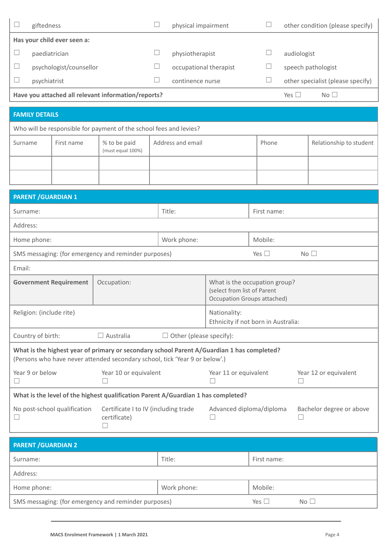|                          | giftedness                                                         |                             |                                                     |  | physical impairment    |       |             | other condition (please specify)  |
|--------------------------|--------------------------------------------------------------------|-----------------------------|-----------------------------------------------------|--|------------------------|-------|-------------|-----------------------------------|
|                          |                                                                    | Has your child ever seen a: |                                                     |  |                        |       |             |                                   |
| $\overline{\phantom{a}}$ | paediatrician                                                      |                             |                                                     |  | physiotherapist        |       | audiologist |                                   |
| $\Box$                   |                                                                    | psychologist/counsellor     |                                                     |  | occupational therapist |       |             | speech pathologist                |
|                          | psychiatrist                                                       |                             |                                                     |  | continence nurse       |       |             | other specialist (please specify) |
|                          |                                                                    |                             | Have you attached all relevant information/reports? |  |                        |       | Yes $\Box$  | No <sub>1</sub>                   |
|                          |                                                                    |                             |                                                     |  |                        |       |             |                                   |
|                          | <b>FAMILY DETAILS</b>                                              |                             |                                                     |  |                        |       |             |                                   |
|                          | Who will be responsible for payment of the school fees and levies? |                             |                                                     |  |                        |       |             |                                   |
| Surname                  |                                                                    | First name                  | % to be paid                                        |  | Address and email      | Phone |             | Relationship to student           |

|                                                      |  | (must equal 100%) |                 |             |  |
|------------------------------------------------------|--|-------------------|-----------------|-------------|--|
|                                                      |  |                   |                 |             |  |
|                                                      |  |                   |                 |             |  |
| <b>PARENT / GUARDIAN 1</b>                           |  |                   |                 |             |  |
| Surname:                                             |  |                   | Title:          | First name: |  |
| Address:                                             |  |                   |                 |             |  |
| Home phone:                                          |  |                   | Work phone:     | Mobile:     |  |
| SMS messaging: (for emergency and reminder purposes) |  | Yes $\square$     | No <sub>1</sub> |             |  |
| Email:                                               |  |                   |                 |             |  |
|                                                      |  |                   |                 |             |  |

| <b>Government Requirement</b>                                                                                                                                             | Occupation:                                 | What is the occupation group?<br>(select from list of Parent<br>Occupation Groups attached) |                       |  |  |
|---------------------------------------------------------------------------------------------------------------------------------------------------------------------------|---------------------------------------------|---------------------------------------------------------------------------------------------|-----------------------|--|--|
| Religion: (include rite)                                                                                                                                                  |                                             | Nationality:<br>Ethnicity if not born in Australia:                                         |                       |  |  |
| Country of birth:                                                                                                                                                         | Australia<br>$\Box$ Other (please specify): |                                                                                             |                       |  |  |
| What is the highest year of primary or secondary school Parent A/Guardian 1 has completed?<br>(Persons who have never attended secondary school, tick 'Year 9 or below'.) |                                             |                                                                                             |                       |  |  |
| Year 9 or below                                                                                                                                                           | Year 10 or equivalent                       | Year 11 or equivalent                                                                       | Year 12 or equivalent |  |  |
| What is the level of the highest qualification Parent A/Guardian 1 has completed?                                                                                         |                                             |                                                                                             |                       |  |  |

| No post-school qualification | Certificate I to IV (including trade<br>certificate) | Advanced diploma/diploma | Bachelor degree or above |
|------------------------------|------------------------------------------------------|--------------------------|--------------------------|
|                              |                                                      |                          |                          |

| <b>PARENT / GUARDIAN 2</b>                           |             |             |  |  |  |  |  |
|------------------------------------------------------|-------------|-------------|--|--|--|--|--|
| Surname:                                             | Title:      | First name: |  |  |  |  |  |
| Address:                                             |             |             |  |  |  |  |  |
| Home phone:                                          | Work phone: | Mobile:     |  |  |  |  |  |
| SMS messaging: (for emergency and reminder purposes) | Yes $\Box$  | No          |  |  |  |  |  |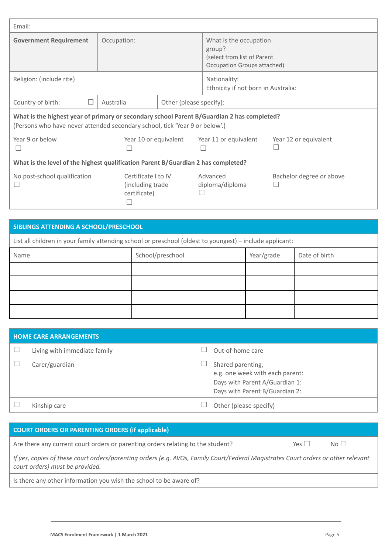| Email:                                                                                                                                                                    |                                                         |                                                     |                                                                                                |                          |
|---------------------------------------------------------------------------------------------------------------------------------------------------------------------------|---------------------------------------------------------|-----------------------------------------------------|------------------------------------------------------------------------------------------------|--------------------------|
| <b>Government Requirement</b>                                                                                                                                             | Occupation:                                             |                                                     | What is the occupation<br>group?<br>(select from list of Parent<br>Occupation Groups attached) |                          |
| Religion: (include rite)                                                                                                                                                  |                                                         | Nationality:<br>Ethnicity if not born in Australia: |                                                                                                |                          |
| Country of birth:<br>П                                                                                                                                                    | Australia                                               | Other (please specify):                             |                                                                                                |                          |
| What is the highest year of primary or secondary school Parent B/Guardian 2 has completed?<br>(Persons who have never attended secondary school, tick 'Year 9 or below'.) |                                                         |                                                     |                                                                                                |                          |
| Year 9 or below                                                                                                                                                           | Year 10 or equivalent                                   |                                                     | Year 11 or equivalent                                                                          | Year 12 or equivalent    |
| What is the level of the highest qualification Parent B/Guardian 2 has completed?                                                                                         |                                                         |                                                     |                                                                                                |                          |
| No post-school qualification<br>$\mathbf{I}$                                                                                                                              | Certificate I to IV<br>(including trade<br>certificate) |                                                     | Advanced<br>diploma/diploma                                                                    | Bachelor degree or above |

| SIBLINGS ATTENDING A SCHOOL/PRESCHOOL                                                                    |                  |            |               |
|----------------------------------------------------------------------------------------------------------|------------------|------------|---------------|
| List all children in your family attending school or preschool (oldest to youngest) – include applicant: |                  |            |               |
| Name                                                                                                     | School/preschool | Year/grade | Date of birth |
|                                                                                                          |                  |            |               |
|                                                                                                          |                  |            |               |
|                                                                                                          |                  |            |               |
|                                                                                                          |                  |            |               |

| <b>HOME CARE ARRANGEMENTS</b> |                                                                                                                          |  |
|-------------------------------|--------------------------------------------------------------------------------------------------------------------------|--|
| Living with immediate family  | Out-of-home care                                                                                                         |  |
| Carer/guardian                | Shared parenting,<br>e.g. one week with each parent:<br>Days with Parent A/Guardian 1:<br>Days with Parent B/Guardian 2: |  |
| Kinship care                  | Other (please specify)                                                                                                   |  |

| COURT ORDERS OR PARENTING ORDERS (if applicable)                                                                                                                     |                 |       |
|----------------------------------------------------------------------------------------------------------------------------------------------------------------------|-----------------|-------|
| Are there any current court orders or parenting orders relating to the student?                                                                                      | $Yes \mid \mid$ | $N_O$ |
| If yes, copies of these court orders/parenting orders (e.g. AVOs, Family Court/Federal Magistrates Court orders or other relevant<br>court orders) must be provided. |                 |       |
| Is there any other information you wish the school to be aware of?                                                                                                   |                 |       |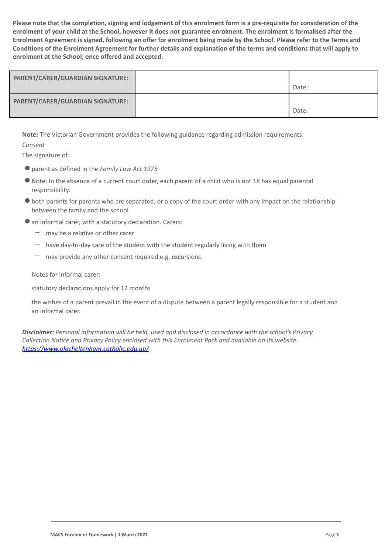**Please note that the completion, signing and lodgement of this enrolment form is a pre-requisite for consideration of the enrolment of your child at the School, however it does not guarantee enrolment. The enrolment is formalised after the Enrolment Agreement is signed, following an offer for enrolment being made by the School. Please refer to the Terms and Conditions of the Enrolment Agreement for further details and explanation of the terms and conditions that will apply to enrolment at the School, once offered and accepted.**

| <b>PARENT/CARER/GUARDIAN SIGNATURE:</b> | Date: |
|-----------------------------------------|-------|
| <b>PARENT/CARER/GUARDIAN SIGNATURE:</b> | Date: |

**Note:** The Victorian Government provides the following guidance regarding admission requirements:

*Consent*

The signature of:

- ●parent as defined in the *Family Law Act 1975*
- ●Note: In the absence of a current court order, each parent of a child who is not 18 has equal parental responsibility.
- ●both parents for parents who are separated, or a copy of the court order with any impact on the relationship between the family and the school
- ●an informal carer, with a statutory declaration. Carers:
	- may be a relative or other carer
	- $-$  have day-to-day care of the student with the student regularly living with them
	- may provide any other consent required e.g. excursions.

Notes for informal carer:

statutory declarations apply for 12 months

the wishes of a parent prevail in the event of a dispute between a parent legally responsible for a student and an informal carer.

*Disclaimer: Personal information will be held, used and disclosed in accordance with the school's Privacy Collection Notice and Privacy Policy enclosed with this Enrolment Pack and available on its website <https://www.olacheltenham.catholic.edu.au/>*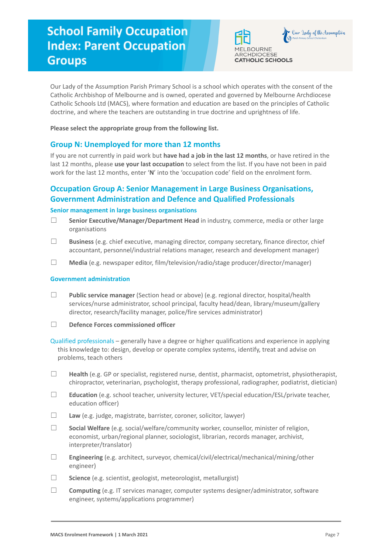# **School Family Occupation Index: Parent Occupation Groups**



Our Lady of the Assumption Parish Primary School is a school which operates with the consent of the Catholic Archbishop of Melbourne and is owned, operated and governed by Melbourne Archdiocese Catholic Schools Ltd (MACS), where formation and education are based on the principles of Catholic doctrine, and where the teachers are outstanding in true doctrine and uprightness of life.

**Please select the appropriate group from the following list.**

## **Group N: Unemployed for more than 12 months**

If you are not currently in paid work but **have had a job in the last 12 months**, or have retired in the last 12 months, please **use your last occupation** to select from the list. If you have not been in paid work for the last 12 months, enter '**N**' into the 'occupation code' field on the enrolment form.

## **Occupation Group A: Senior Management in Large Business Organisations, Government Administration and Defence and Qualified Professionals**

#### **Senior management in large business organisations**

- ☐ **Senior Executive/Manager/Department Head** in industry, commerce, media or other large organisations
- ☐ **Business** (e.g. chief executive, managing director, company secretary, finance director, chief accountant, personnel/industrial relations manager, research and development manager)
- ☐ **Media** (e.g. newspaper editor, film/television/radio/stage producer/director/manager)

#### **Government administration**

- ☐ **Public service manager** (Section head or above) (e.g. regional director, hospital/health services/nurse administrator, school principal, faculty head/dean, library/museum/gallery director, research/facility manager, police/fire services administrator)
- ☐ **Defence Forces commissioned officer**

Qualified professionals – generally have a degree or higher qualifications and experience in applying this knowledge to: design, develop or operate complex systems, identify, treat and advise on problems, teach others

- ☐ **Health** (e.g. GP or specialist, registered nurse, dentist, pharmacist, optometrist, physiotherapist, chiropractor, veterinarian, psychologist, therapy professional, radiographer, podiatrist, dietician)
- ☐ **Education** (e.g. school teacher, university lecturer, VET/special education/ESL/private teacher, education officer)
- ☐ **Law** (e.g. judge, magistrate, barrister, coroner, solicitor, lawyer)
- ☐ **Social Welfare** (e.g. social/welfare/community worker, counsellor, minister of religion, economist, urban/regional planner, sociologist, librarian, records manager, archivist, interpreter/translator)
- ☐ **Engineering** (e.g. architect, surveyor, chemical/civil/electrical/mechanical/mining/other engineer)
- ☐ **Science** (e.g. scientist, geologist, meteorologist, metallurgist)
- ☐ **Computing** (e.g. IT services manager, computer systems designer/administrator, software engineer, systems/applications programmer)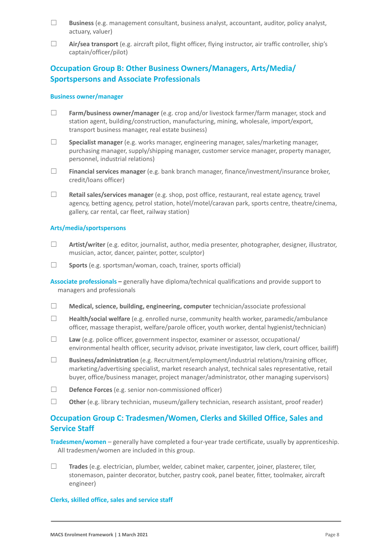- ☐ **Business** (e.g. management consultant, business analyst, accountant, auditor, policy analyst, actuary, valuer)
- ☐ **Air/sea transport** (e.g. aircraft pilot, flight officer, flying instructor, air traffic controller, ship's captain/officer/pilot)

## **Occupation Group B: Other Business Owners/Managers, Arts/Media/ Sportspersons and Associate Professionals**

#### **Business owner/manager**

- ☐ **Farm/business owner/manager** (e.g. crop and/or livestock farmer/farm manager, stock and station agent, building/construction, manufacturing, mining, wholesale, import/export, transport business manager, real estate business)
- ☐ **Specialist manager** (e.g. works manager, engineering manager, sales/marketing manager, purchasing manager, supply/shipping manager, customer service manager, property manager, personnel, industrial relations)
- ☐ **Financial services manager** (e.g. bank branch manager, finance/investment/insurance broker, credit/loans officer)
- ☐ **Retail sales/services manager** (e.g. shop, post office, restaurant, real estate agency, travel agency, betting agency, petrol station, hotel/motel/caravan park, sports centre, theatre/cinema, gallery, car rental, car fleet, railway station)

#### **Arts/media/sportspersons**

- ☐ **Artist/writer** (e.g. editor, journalist, author, media presenter, photographer, designer, illustrator, musician, actor, dancer, painter, potter, sculptor)
- ☐ **Sports** (e.g. sportsman/woman, coach, trainer, sports official)

**Associate professionals –** generally have diploma/technical qualifications and provide support to managers and professionals

- ☐ **Medical, science, building, engineering, computer** technician/associate professional
- ☐ **Health/social welfare** (e.g. enrolled nurse, community health worker, paramedic/ambulance officer, massage therapist, welfare/parole officer, youth worker, dental hygienist/technician)
- ☐ **Law** (e.g. police officer, government inspector, examiner or assessor, occupational/ environmental health officer, security advisor, private investigator, law clerk, court officer, bailiff)
- ☐ **Business/administration** (e.g. Recruitment/employment/industrial relations/training officer, marketing/advertising specialist, market research analyst, technical sales representative, retail buyer, office/business manager, project manager/administrator, other managing supervisors)
- ☐ **Defence Forces** (e.g. senior non-commissioned officer)
- ☐ **Other** (e.g. library technician, museum/gallery technician, research assistant, proof reader)

## **Occupation Group C: Tradesmen/Women, Clerks and Skilled Office, Sales and Service Staff**

**Tradesmen/women** – generally have completed a four-year trade certificate, usually by apprenticeship. All tradesmen/women are included in this group.

☐ **Trades** (e.g. electrician, plumber, welder, cabinet maker, carpenter, joiner, plasterer, tiler, stonemason, painter decorator, butcher, pastry cook, panel beater, fitter, toolmaker, aircraft engineer)

#### **Clerks, skilled office, sales and service staff**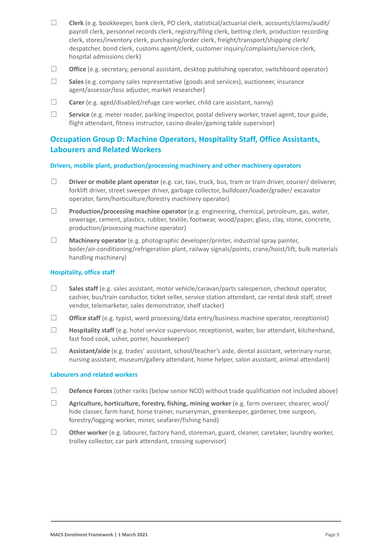- ☐ **Clerk** (e.g. bookkeeper, bank clerk, PO clerk, statistical/actuarial clerk, accounts/claims/audit/ payroll clerk, personnel records clerk, registry/filing clerk, betting clerk, production recording clerk, stores/inventory clerk, purchasing/order clerk, freight/transport/shipping clerk/ despatcher, bond clerk, customs agent/clerk, customer inquiry/complaints/service clerk, hospital admissions clerk)
- ☐ **Office** (e.g. secretary, personal assistant, desktop publishing operator, switchboard operator)
- ☐ **Sales** (e.g. company sales representative (goods and services), auctioneer, insurance agent/assessor/loss adjuster, market researcher)
- ☐ **Carer** (e.g. aged/disabled/refuge care worker, child care assistant, nanny)
- ☐ **Service** (e.g. meter reader, parking inspector, postal delivery worker, travel agent, tour guide, flight attendant, fitness instructor, casino dealer/gaming table supervisor)

## **Occupation Group D: Machine Operators, Hospitality Staff, Office Assistants, Labourers and Related Workers**

#### **Drivers, mobile plant, production/processing machinery and other machinery operators**

- ☐ **Driver or mobile plant operator** (e.g. car, taxi, truck, bus, tram or train driver, courier/ deliverer, forklift driver, street sweeper driver, garbage collector, bulldozer/loader/grader/ excavator operator, farm/horticulture/forestry machinery operator)
- ☐ **Production/processing machine operator** (e.g. engineering, chemical, petroleum, gas, water, sewerage, cement, plastics, rubber, textile, footwear, wood/paper, glass, clay, stone, concrete, production/processing machine operator)
- ☐ **Machinery operator** (e.g. photographic developer/printer, industrial spray painter, boiler/air-conditioning/refrigeration plant, railway signals/points, crane/hoist/lift, bulk materials handling machinery)

#### **Hospitality, office staff**

- ☐ **Sales staff** (e.g. sales assistant, motor vehicle/caravan/parts salesperson, checkout operator, cashier, bus/train conductor, ticket seller, service station attendant, car rental desk staff, street vendor, telemarketer, sales demonstrator, shelf stacker)
- ☐ **Office staff** (e.g. typist, word processing/data entry/business machine operator, receptionist)
- ☐ **Hospitality staff** (e.g. hotel service supervisor, receptionist, waiter, bar attendant, kitchenhand, fast food cook, usher, porter, housekeeper)
- ☐ **Assistant/aide** (e.g. trades' assistant, school/teacher's aide, dental assistant, veterinary nurse, nursing assistant, museum/gallery attendant, home helper, salon assistant, animal attendant)

#### **Labourers and related workers**

- □ **Defence Forces** (other ranks (below senior NCO) without trade qualification not included above)
- ☐ **Agriculture, horticulture, forestry, fishing, mining worker** (e.g. farm overseer, shearer, wool/ hide classer, farm hand, horse trainer, nurseryman, greenkeeper, gardener, tree surgeon, forestry/logging worker, miner, seafarer/fishing hand)
- ☐ **Other worker** (e.g. labourer, factory hand, storeman, guard, cleaner, caretaker, laundry worker, trolley collector, car park attendant, crossing supervisor)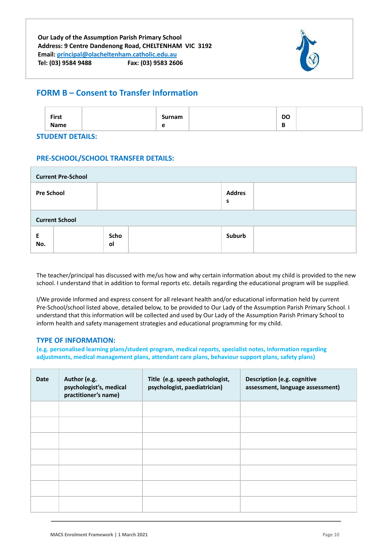

# **FORM B – Consent to Transfer Information**

| <b>First</b> |        | <b>DO</b> |  |
|--------------|--------|-----------|--|
| Name         | -<br>∼ | D         |  |

**STUDENT DETAILS:**

## **PRE-SCHOOL/SCHOOL TRANSFER DETAILS:**

| <b>Current Pre-School</b> |            |                    |  |
|---------------------------|------------|--------------------|--|
| <b>Pre School</b>         |            | <b>Addres</b><br>s |  |
| <b>Current School</b>     |            |                    |  |
| E<br>No.                  | Scho<br>ol | Suburb             |  |

The teacher/principal has discussed with me/us how and why certain information about my child is provided to the new school. I understand that in addition to formal reports etc. details regarding the educational program will be supplied.

I/We provide informed and express consent for all relevant health and/or educational information held by current Pre-School/school listed above, detailed below, to be provided to Our Lady of the Assumption Parish Primary School. I understand that this information will be collected and used by Our Lady of the Assumption Parish Primary School to inform health and safety management strategies and educational programming for my child.

### **TYPE OF INFORMATION:**

**(e.g. personalised learning plans/student program, medical reports, specialist notes, information regarding adjustments, medical management plans, attendant care plans, behaviour support plans, safety plans)**

| <b>Date</b> | Author (e.g.<br>psychologist's, medical<br>practitioner's name) | Title (e.g. speech pathologist,<br>psychologist, paediatrician) | Description (e.g. cognitive<br>assessment, language assessment) |
|-------------|-----------------------------------------------------------------|-----------------------------------------------------------------|-----------------------------------------------------------------|
|             |                                                                 |                                                                 |                                                                 |
|             |                                                                 |                                                                 |                                                                 |
|             |                                                                 |                                                                 |                                                                 |
|             |                                                                 |                                                                 |                                                                 |
|             |                                                                 |                                                                 |                                                                 |
|             |                                                                 |                                                                 |                                                                 |
|             |                                                                 |                                                                 |                                                                 |